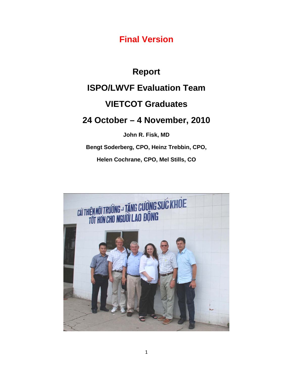**Final Version**

# **Report ISPO/LWVF Evaluation Team VIETCOT Graduates 24 October – 4 November, 2010 John R. Fisk, MD**

**Bengt Soderberg, CPO, Heinz Trebbin, CPO,**

**Helen Cochrane, CPO, Mel Stills, CO**

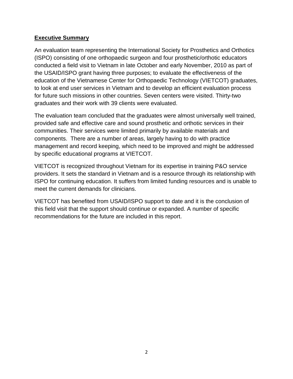#### **Executive Summary**

An evaluation team representing the International Society for Prosthetics and Orthotics (ISPO) consisting of one orthopaedic surgeon and four prosthetic/orthotic educators conducted a field visit to Vietnam in late October and early November, 2010 as part of the USAID/ISPO grant having three purposes; to evaluate the effectiveness of the education of the Vietnamese Center for Orthopaedic Technology (VIETCOT) graduates, to look at end user services in Vietnam and to develop an efficient evaluation process for future such missions in other countries. Seven centers were visited. Thirty-two graduates and their work with 39 clients were evaluated.

The evaluation team concluded that the graduates were almost universally well trained, provided safe and effective care and sound prosthetic and orthotic services in their communities. Their services were limited primarily by available materials and components. There are a number of areas, largely having to do with practice management and record keeping, which need to be improved and might be addressed by specific educational programs at VIETCOT.

VIETCOT is recognized throughout Vietnam for its expertise in training P&O service providers. It sets the standard in Vietnam and is a resource through its relationship with ISPO for continuing education. It suffers from limited funding resources and is unable to meet the current demands for clinicians.

VIETCOT has benefited from USAID/ISPO support to date and it is the conclusion of this field visit that the support should continue or expanded. A number of specific recommendations for the future are included in this report.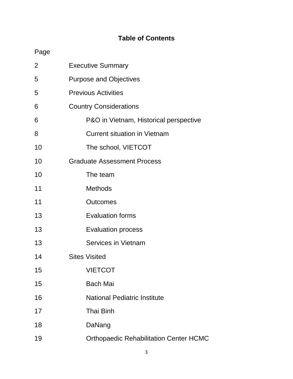# **Table of Contents**

# Page

| 2  | <b>Executive Summary</b>                      |
|----|-----------------------------------------------|
| 5  | <b>Purpose and Objectives</b>                 |
| 5  | <b>Previous Activities</b>                    |
| 6  | <b>Country Considerations</b>                 |
| 6  | P&O in Vietnam, Historical perspective        |
| 8  | <b>Current situation in Vietnam</b>           |
| 10 | The school, VIETCOT                           |
| 10 | <b>Graduate Assessment Process</b>            |
| 10 | The team                                      |
| 11 | <b>Methods</b>                                |
| 11 | <b>Outcomes</b>                               |
| 13 | <b>Evaluation forms</b>                       |
| 13 | <b>Evaluation process</b>                     |
| 13 | <b>Services in Vietnam</b>                    |
| 14 | <b>Sites Visited</b>                          |
| 15 | <b>VIETCOT</b>                                |
| 15 | <b>Bach Mai</b>                               |
| 16 | <b>National Pediatric Institute</b>           |
| 17 | <b>Thai Binh</b>                              |
| 18 | DaNang                                        |
| 19 | <b>Orthopaedic Rehabilitation Center HCMC</b> |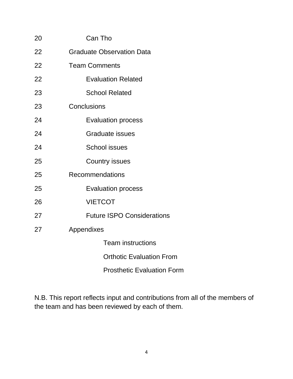| 20 | Can Tho                           |  |  |  |
|----|-----------------------------------|--|--|--|
| 22 | <b>Graduate Observation Data</b>  |  |  |  |
| 22 | <b>Team Comments</b>              |  |  |  |
| 22 | <b>Evaluation Related</b>         |  |  |  |
| 23 | <b>School Related</b>             |  |  |  |
| 23 | Conclusions                       |  |  |  |
| 24 | <b>Evaluation process</b>         |  |  |  |
| 24 | <b>Graduate issues</b>            |  |  |  |
| 24 | <b>School issues</b>              |  |  |  |
| 25 | <b>Country issues</b>             |  |  |  |
| 25 | Recommendations                   |  |  |  |
| 25 | <b>Evaluation process</b>         |  |  |  |
| 26 | <b>VIETCOT</b>                    |  |  |  |
| 27 | <b>Future ISPO Considerations</b> |  |  |  |
| 27 | Appendixes                        |  |  |  |
|    | <b>Team instructions</b>          |  |  |  |
|    | <b>Orthotic Evaluation From</b>   |  |  |  |
|    | <b>Prosthetic Evaluation Form</b> |  |  |  |

N.B. This report reflects input and contributions from all of the members of the team and has been reviewed by each of them.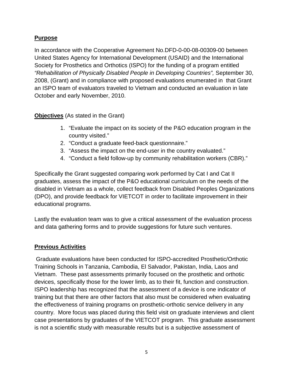## **Purpose**

In accordance with the Cooperative Agreement No.DFD-0-00-08-00309-00 between United States Agency for International Development (USAID) and the International Society for Prosthetics and Orthotics (ISPO) for the funding of a program entitled *"Rehabilitation of Physically Disabled People in Developing Countries",* September 30, 2008, (Grant) and in compliance with proposed evaluations enumerated in that Grant an ISPO team of evaluators traveled to Vietnam and conducted an evaluation in late October and early November, 2010.

#### **Objectives** (As stated in the Grant)

- 1. "Evaluate the impact on its society of the P&O education program in the country visited."
- 2. "Conduct a graduate feed-back questionnaire."
- 3. "Assess the impact on the end-user in the country evaluated."
- 4. "Conduct a field follow-up by community rehabilitation workers (CBR)."

Specifically the Grant suggested comparing work performed by Cat I and Cat II graduates, assess the impact of the P&O educational curriculum on the needs of the disabled in Vietnam as a whole, collect feedback from Disabled Peoples Organizations (DPO), and provide feedback for VIETCOT in order to facilitate improvement in their educational programs.

Lastly the evaluation team was to give a critical assessment of the evaluation process and data gathering forms and to provide suggestions for future such ventures.

#### **Previous Activities**

Graduate evaluations have been conducted for ISPO-accredited Prosthetic/Orthotic Training Schools in Tanzania, Cambodia, El Salvador, Pakistan, India, Laos and Vietnam. These past assessments primarily focused on the prosthetic and orthotic devices, specifically those for the lower limb, as to their fit, function and construction. ISPO leadership has recognized that the assessment of a device is one indicator of training but that there are other factors that also must be considered when evaluating the effectiveness of training programs on prosthetic-orthotic service delivery in any country. More focus was placed during this field visit on graduate interviews and client case presentations by graduates of the VIETCOT program. This graduate assessment is not a scientific study with measurable results but is a subjective assessment of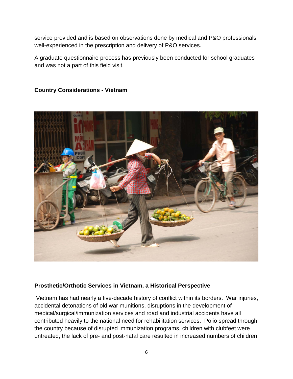service provided and is based on observations done by medical and P&O professionals well-experienced in the prescription and delivery of P&O services.

A graduate questionnaire process has previously been conducted for school graduates and was not a part of this field visit.

## **Country Considerations - Vietnam**



#### **Prosthetic/Orthotic Services in Vietnam, a Historical Perspective**

Vietnam has had nearly a five-decade history of conflict within its borders. War injuries, accidental detonations of old war munitions, disruptions in the development of medical/surgical/immunization services and road and industrial accidents have all contributed heavily to the national need for rehabilitation services. Polio spread through the country because of disrupted immunization programs, children with clubfeet were untreated, the lack of pre- and post-natal care resulted in increased numbers of children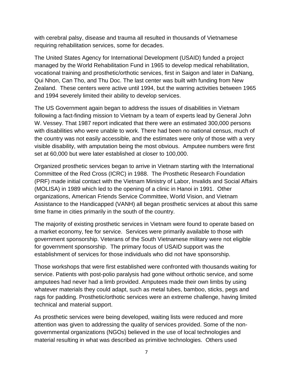with cerebral palsy, disease and trauma all resulted in thousands of Vietnamese requiring rehabilitation services, some for decades.

The United States Agency for International Development (USAID) funded a project managed by the World Rehabilitation Fund in 1965 to develop medical rehabilitation, vocational training and prosthetic/orthotic services, first in Saigon and later in DaNang, Qui Nhon, Can Tho, and Thu Doc. The last center was built with funding from New Zealand. These centers were active until 1994, but the warring activities between 1965 and 1994 severely limited their ability to develop services.

The US Government again began to address the issues of disabilities in Vietnam following a fact-finding mission to Vietnam by a team of experts lead by General John W. Vessey. That 1987 report indicated that there were an estimated 300,000 persons with disabilities who were unable to work. There had been no national census, much of the country was not easily accessible, and the estimates were only of those with a very visible disability, with amputation being the most obvious. Amputee numbers were first set at 60,000 but were later established at closer to 100,000.

Organized prosthetic services began to arrive in Vietnam starting with the International Committee of the Red Cross (ICRC) in 1988. The Prosthetic Research Foundation (PRF) made initial contact with the Vietnam Ministry of Labor, Invalids and Social Affairs (MOLISA) in 1989 which led to the opening of a clinic in Hanoi in 1991. Other organizations, American Friends Service Committee, World Vision, and Vietnam Assistance to the Handicapped (VANH) all began prosthetic services at about this same time frame in cities primarily in the south of the country.

The majority of existing prosthetic services in Vietnam were found to operate based on a market economy, fee for service. Services were primarily available to those with government sponsorship. Veterans of the South Vietnamese military were not eligible for government sponsorship. The primary focus of USAID support was the establishment of services for those individuals who did not have sponsorship.

Those workshops that were first established were confronted with thousands waiting for service. Patients with post-polio paralysis had gone without orthotic service, and some amputees had never had a limb provided. Amputees made their own limbs by using whatever materials they could adapt, such as metal tubes, bamboo, sticks, pegs and rags for padding. Prosthetic/orthotic services were an extreme challenge, having limited technical and material support.

As prosthetic services were being developed, waiting lists were reduced and more attention was given to addressing the quality of services provided. Some of the nongovernmental organizations (NGOs) believed in the use of local technologies and material resulting in what was described as primitive technologies. Others used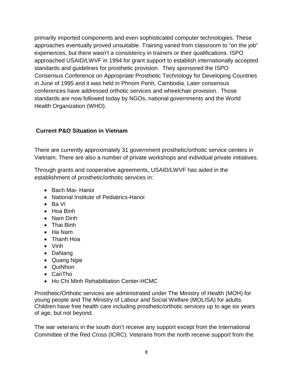primarily imported components and even sophisticated computer technologies. These approaches eventually proved unsuitable. Training varied from classroom to "on the job" experiences, but there wasn't a consistency in trainers or their qualifications. ISPO approached USAID/LWVF in 1994 for grant support to establish internationally accepted standards and guidelines for prosthetic provision. They sponsored the ISPO Consensus Conference on Appropriate Prosthetic Technology for Developing Countries in June of 1995 and it was held in Phnom Penh, Cambodia. Later consensus conferences have addressed orthotic services and wheelchair provision. Those standards are now followed today by NGOs, national governments and the World Health Organization (WHO).

#### **Current P&O Situation in Vietnam**

There are currently approximately 31 government prosthetic/orthotic service centers in Vietnam. There are also a number of private workshops and individual private initiatives.

Through grants and cooperative agreements, USAID/LWVF has aided in the establishment of prosthetic/orthotic services in:

- Bach Mai- Hanoi
- National Institute of Pediatrics-Hanoi
- Ba Vi
- Hoa Binh
- Nam Dinh
- Thai Binh
- Ha Nam
- Thanh Hoa
- Vinh
- DaNang
- Quang Ngai
- QuiNhon
- CanTho
- Ho Chi Minh Rehabilitation Center-HCMC

Prosthetic/Orthotic services are administrated under The Ministry of Health (MOH) for young people and The Ministry of Labour and Social Welfare (MOLISA) for adults. Children have free health care including prosthetic/orthotic services up to age six years of age, but not beyond.

The war veterans in the south don't receive any support except from the International Committee of the Red Cross (ICRC). Veterans from the north receive support from the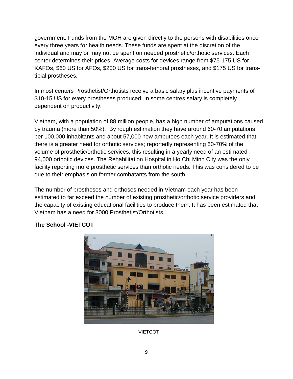government. Funds from the MOH are given directly to the persons with disabilities once every three years for health needs. These funds are spent at the discretion of the individual and may or may not be spent on needed prosthetic/orthotic services. Each center determines their prices. Average costs for devices range from \$75-175 US for KAFOs, \$60 US for AFOs, \$200 US for trans-femoral prostheses, and \$175 US for transtibial prostheses.

In most centers Prosthetist/Orthotists receive a basic salary plus incentive payments of \$10-15 US for every prostheses produced. In some centres salary is completely dependent on productivity.

Vietnam, with a population of 88 million people, has a high number of amputations caused by trauma (more than 50%). By rough estimation they have around 60-70 amputations per 100,000 inhabitants and about 57,000 new amputees each year. It is estimated that there is a greater need for orthotic services; reportedly representing 60-70% of the volume of prosthetic/orthotic services, this resulting in a yearly need of an estimated 94,000 orthotic devices. The Rehabilitation Hospital in Ho Chi Minh City was the only facility reporting more prosthetic services than orthotic needs. This was considered to be due to their emphasis on former combatants from the south.

The number of prostheses and orthoses needed in Vietnam each year has been estimated to far exceed the number of existing prosthetic/orthotic service providers and the capacity of existing educational facilities to produce them. It has been estimated that Vietnam has a need for 3000 Prosthetist/Orthotists.



#### **The School -VIETCOT**

**VIETCOT** 

9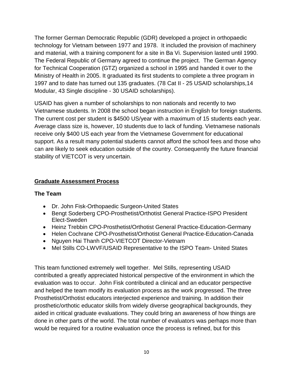The former German Democratic Republic (GDR) developed a project in orthopaedic technology for Vietnam between 1977 and 1978. It included the provision of machinery and material, with a training component for a site in Ba Vi. Supervision lasted until 1990. The Federal Republic of Germany agreed to continue the project. The German Agency for Technical Cooperation (GTZ) organized a school in 1995 and handed it over to the Ministry of Health in 2005. It graduated its first students to complete a three program in 1997 and to date has turned out 135 graduates. (78 Cat II - 25 USAID scholarships,14 Modular, 43 Single discipline - 30 USAID scholarships).

USAID has given a number of scholarships to non nationals and recently to two Vietnamese students. In 2008 the school began instruction in English for foreign students. The current cost per student is \$4500 US/year with a maximum of 15 students each year. Average class size is, however, 10 students due to lack of funding. Vietnamese nationals receive only \$400 US each year from the Vietnamese Government for educational support. As a result many potential students cannot afford the school fees and those who can are likely to seek education outside of the country. Consequently the future financial stability of VIETCOT is very uncertain.

#### **Graduate Assessment Process**

#### **The Team**

- Dr. John Fisk-Orthopaedic Surgeon-United States
- Bengt Soderberg CPO-Prosthetist/Orthotist General Practice-ISPO President Elect-Sweden
- Heinz Trebbin CPO-Prosthetist/Orthotist General Practice-Education-Germany
- Helen Cochrane CPO-Prosthetist/Orthotist General Practice-Education-Canada
- Nguyen Hai Thanh CPO-VIETCOT Director-Vietnam
- Mel Stills CO-LWVF/USAID Representative to the ISPO Team- United States

This team functioned extremely well together. Mel Stills, representing USAID contributed a greatly appreciated historical perspective of the environment in which the evaluation was to occur. John Fisk contributed a clinical and an educator perspective and helped the team modify its evaluation process as the work progressed. The three Prosthetist/Orthotist educators interjected experience and training. In addition their prosthetic/orthotic educator skills from widely diverse geographical backgrounds, they aided in critical graduate evaluations. They could bring an awareness of how things are done in other parts of the world. The total number of evaluators was perhaps more than would be required for a routine evaluation once the process is refined, but for this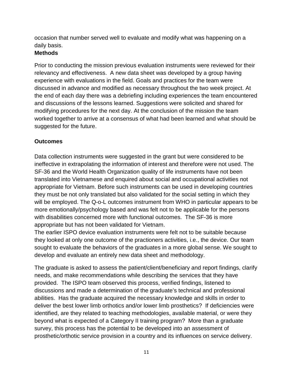occasion that number served well to evaluate and modify what was happening on a daily basis.

#### **Methods**

Prior to conducting the mission previous evaluation instruments were reviewed for their relevancy and effectiveness. A new data sheet was developed by a group having experience with evaluations in the field. Goals and practices for the team were discussed in advance and modified as necessary throughout the two week project. At the end of each day there was a debriefing including experiences the team encountered and discussions of the lessons learned. Suggestions were solicited and shared for modifying procedures for the next day. At the conclusion of the mission the team worked together to arrive at a consensus of what had been learned and what should be suggested for the future.

#### **Outcomes**

Data collection instruments were suggested in the grant but were considered to be ineffective in extrapolating the information of interest and therefore were not used. The SF-36 and the World Health Organization quality of life instruments have not been translated into Vietnamese and enquired about social and occupational activities not appropriate for Vietnam. Before such instruments can be used in developing countries they must be not only translated but also validated for the social setting in which they will be employed. The Q-o-L outcomes instrument from WHO in particular appears to be more emotionally/psychology based and was felt not to be applicable for the persons with disabilities concerned more with functional outcomes. The SF-36 is more appropriate but has not been validated for Vietnam.

The earlier ISPO device evaluation instruments were felt not to be suitable because they looked at only one outcome of the practioners activities, i.e., the device. Our team sought to evaluate the behaviors of the graduates in a more global sense. We sought to develop and evaluate an entirely new data sheet and methodology.

The graduate is asked to assess the patient/client/beneficiary and report findings, clarify needs, and make recommendations while describing the services that they have provided. The ISPO team observed this process, verified findings, listened to discussions and made a determination of the graduate's technical and professional abilities. Has the graduate acquired the necessary knowledge and skills in order to deliver the best lower limb orthotics and/or lower limb prosthetics? If deficiencies were identified, are they related to teaching methodologies, available material, or were they beyond what is expected of a Category II training program? More than a graduate survey, this process has the potential to be developed into an assessment of prosthetic/orthotic service provision in a country and its influences on service delivery.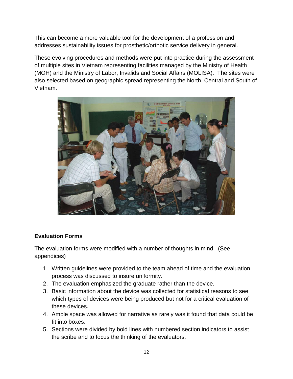This can become a more valuable tool for the development of a profession and addresses sustainability issues for prosthetic/orthotic service delivery in general.

These evolving procedures and methods were put into practice during the assessment of multiple sites in Vietnam representing facilities managed by the Ministry of Health (MOH) and the Ministry of Labor, Invalids and Social Affairs (MOLISA). The sites were also selected based on geographic spread representing the North, Central and South of Vietnam.



# **Evaluation Forms**

The evaluation forms were modified with a number of thoughts in mind. (See appendices)

- 1. Written guidelines were provided to the team ahead of time and the evaluation process was discussed to insure uniformity.
- 2. The evaluation emphasized the graduate rather than the device.
- 3. Basic information about the device was collected for statistical reasons to see which types of devices were being produced but not for a critical evaluation of these devices.
- 4. Ample space was allowed for narrative as rarely was it found that data could be fit into boxes.
- 5. Sections were divided by bold lines with numbered section indicators to assist the scribe and to focus the thinking of the evaluators.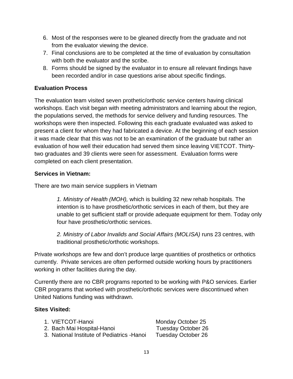- 6. Most of the responses were to be gleaned directly from the graduate and not from the evaluator viewing the device.
- 7. Final conclusions are to be completed at the time of evaluation by consultation with both the evaluator and the scribe.
- 8. Forms should be signed by the evaluator in to ensure all relevant findings have been recorded and/or in case questions arise about specific findings.

# **Evaluation Process**

The evaluation team visited seven prothetic/orthotic service centers having clinical workshops. Each visit began with meeting administrators and learning about the region, the populations served, the methods for service delivery and funding resources. The workshops were then inspected. Following this each graduate evaluated was asked to present a client for whom they had fabricated a device. At the beginning of each session it was made clear that this was not to be an examination of the graduate but rather an evaluation of how well their education had served them since leaving VIETCOT. Thirtytwo graduates and 39 clients were seen for assessment. Evaluation forms were completed on each client presentation.

#### **Services in Vietnam:**

There are two main service suppliers in Vietnam

*1. Ministry of Health (MOH),* which is building 32 new rehab hospitals. The intention is to have prosthetic/orthotic services in each of them, but they are unable to get sufficient staff or provide adequate equipment for them. Today only four have prosthetic/orthotic services.

*2. Ministry of Labor Invalids and Social Affairs (MOLISA)* runs 23 centres, with traditional prosthetic/orthotic workshops.

Private workshops are few and don't produce large quantities of prosthetics or orthotics currently. Private services are often performed outside working hours by practitioners working in other facilities during the day.

Currently there are no CBR programs reported to be working with P&O services. Earlier CBR programs that worked with prosthetic/orthotic services were discontinued when United Nations funding was withdrawn.

#### **Sites Visited:**

| 1. VIETCOT-Hanoi                            | Monday October 25         |
|---------------------------------------------|---------------------------|
| 2. Bach Mai Hospital-Hanoi                  | Tuesday October 26        |
| 3. National Institute of Pediatrics - Hanoi | <b>Tuesday October 26</b> |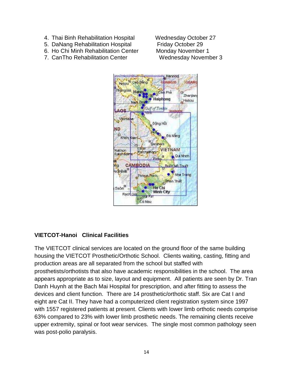- 4. Thai Binh Rehabilitation Hospital Wednesday October 27
- 
- 6. Ho Chi Minh Rehabilitation Center
- 7. CanTho Rehabilitation Center Wednesday November 3

5. DaNang Rehabilitation Hospital Friday October 29<br>6. Ho Chi Minh Rehabilitation Center Monday November 1



#### **VIETCOT-Hanoi Clinical Facilities**

The VIETCOT clinical services are located on the ground floor of the same building housing the VIETCOT Prosthetic/Orthotic School. Clients waiting, casting, fitting and production areas are all separated from the school but staffed with prosthetists/orthotists that also have academic responsibilities in the school. The area appears appropriate as to size, layout and equipment. All patients are seen by Dr. Tran Danh Huynh at the Bach Mai Hospital for prescription, and after fitting to assess the devices and client function. There are 14 prosthetic/orthotic staff. Six are Cat I and eight are Cat II. They have had a computerized client registration system since 1997 with 1557 registered patients at present. Clients with lower limb orthotic needs comprise 63% compared to 23% with lower limb prosthetic needs. The remaining clients receive upper extremity, spinal or foot wear services. The single most common pathology seen was post-polio paralysis.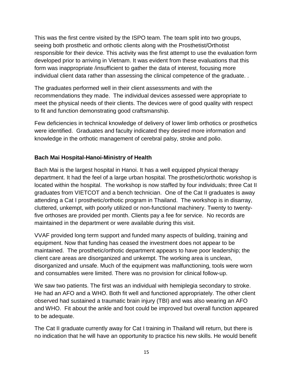This was the first centre visited by the ISPO team. The team split into two groups, seeing both prosthetic and orthotic clients along with the Prosthetist/Orthotist responsible for their device. This activity was the first attempt to use the evaluation form developed prior to arriving in Vietnam. It was evident from these evaluations that this form was inappropriate /insufficient to gather the data of interest, focusing more individual client data rather than assessing the clinical competence of the graduate...

The graduates performed well in their client assessments and with the recommendations they made. The individual devices assessed were appropriate to meet the physical needs of their clients. The devices were of good quality with respect to fit and function demonstrating good craftsmanship.

Few deficiencies in technical knowledge of delivery of lower limb orthotics or prosthetics were identified. Graduates and faculty indicated they desired more information and knowledge in the orthotic management of cerebral palsy, stroke and polio.

#### **Bach Mai Hospital-Hanoi-Ministry of Health**

Bach Mai is the largest hospital in Hanoi. It has a well equipped physical therapy department. It had the feel of a large urban hospital. The prosthetic/orthotic workshop is located within the hospital. The workshop is now staffed by four individuals; three Cat II graduates from VIETCOT and a bench technician. One of the Cat II graduates is away attending a Cat I prosthetic/orthotic program in Thailand. The workshop is in disarray, cluttered, unkempt, with poorly utilized or non-functional machinery. Twenty to twentyfive orthoses are provided per month. Clients pay a fee for service. No records are maintained in the department or were available during this visit.

VVAF provided long term support and funded many aspects of building, training and equipment. Now that funding has ceased the investment does not appear to be maintained. The prosthetic/orthotic department appears to have poor leadership; the client care areas are disorganized and unkempt. The working area is unclean, disorganized and unsafe. Much of the equipment was malfunctioning, tools were worn and consumables were limited. There was no provision for clinical follow-up.

We saw two patients. The first was an individual with hemiplegia secondary to stroke. He had an AFO and a WHO. Both fit well and functioned appropriately. The other client observed had sustained a traumatic brain injury (TBI) and was also wearing an AFO and WHO. Fit about the ankle and foot could be improved but overall function appeared to be adequate.

The Cat II graduate currently away for Cat I training in Thailand will return, but there is no indication that he will have an opportunity to practice his new skills. He would benefit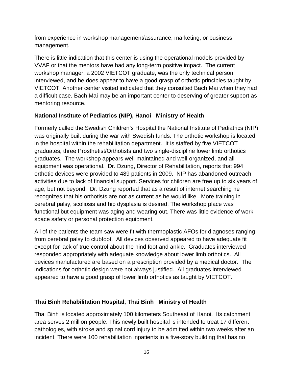from experience in workshop management/assurance, marketing, or business management.

There is little indication that this center is using the operational models provided by VVAF or that the mentors have had any long-term positive impact. The current workshop manager, a 2002 VIETCOT graduate, was the only technical person interviewed, and he does appear to have a good grasp of orthotic principles taught by VIETCOT. Another center visited indicated that they consulted Bach Mai when they had a difficult case. Bach Mai may be an important center to deserving of greater support as mentoring resource.

# **National Institute of Pediatrics (NIP), Hanoi Ministry of Health**

Formerly called the Swedish Children's Hospital the National Institute of Pediatrics (NIP) was originally built during the war with Swedish funds. The orthotic workshop is located in the hospital within the rehabilitation department. It is staffed by five VIETCOT graduates, three Prosthetist/Orthotists and two single-discipline lower limb orthotics graduates. The workshop appears well-maintained and well-organized, and all equipment was operational. Dr. Dzung, Director of Rehabilitation, reports that 994 orthotic devices were provided to 489 patients in 2009. NIP has abandoned outreach activities due to lack of financial support. Services for children are free up to six years of age, but not beyond. Dr. Dzung reported that as a result of internet searching he recognizes that his orthotists are not as current as he would like. More training in cerebral palsy, scoliosis and hip dysplasia is desired. The workshop place was functional but equipment was aging and wearing out. There was little evidence of work space safety or personal protection equipment.

All of the patients the team saw were fit with thermoplastic AFOs for diagnoses ranging from cerebral palsy to clubfoot. All devices observed appeared to have adequate fit except for lack of true control about the hind foot and ankle. Graduates interviewed responded appropriately with adequate knowledge about lower limb orthotics. All devices manufactured are based on a prescription provided by a medical doctor. The indications for orthotic design were not always justified. All graduates interviewed appeared to have a good grasp of lower limb orthotics as taught by VIETCOT.

# **Thai Binh Rehabilitation Hospital, Thai Binh Ministry of Health**

Thai Binh is located approximately 100 kilometers Southeast of Hanoi. Its catchment area serves 2 million people. This newly built hospital is intended to treat 17 different pathologies, with stroke and spinal cord injury to be admitted within two weeks after an incident. There were 100 rehabilitation inpatients in a five-story building that has no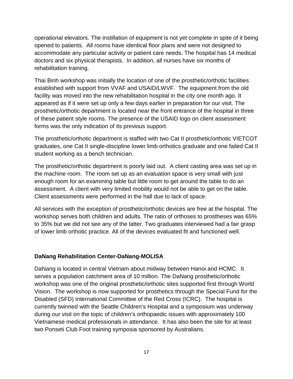operational elevators. The instillation of equipment is not yet complete in spite of it being opened to patients. All rooms have identical floor plans and were not designed to accommodate any particular activity or patient care needs. The hospital has 14 medical doctors and six physical therapists. In addition, all nurses have six months of rehabilitation training.

Thai Binh workshop was initially the location of one of the prosthetic/orthotic facilities established with support from VVAF and USAID/LWVF. The equipment from the old facility was moved into the new rehabilitation hospital in the city one month ago. It appeared as if it were set up only a few days earlier in preparation for our visit. The prosthetic/orthotic department is located near the front entrance of the hospital in three of these patient style rooms. The presence of the USAID logo on client assessment forms was the only indication of its previous support.

The prosthetic/orthotic department is staffed with two Cat II prosthetic/orthotic VIETCOT graduates, one Cat II single-discipline lower limb orthotics graduate and one failed Cat II student working as a bench technician.

The prosthetic/orthotic department is poorly laid out. A client casting area was set up in the machine room. The room set up as an evaluation space is very small with just enough room for an examining table but little room to get around the table to do an assessment. A client with very limited mobility would not be able to get on the table. Client assessments were performed in the hall due to lack of space.

All services with the exception of prosthetic/orthotic devices are free at the hospital. The workshop serves both children and adults. The ratio of orthoses to prostheses was 65% to 35% but we did not see any of the latter. Two graduates interviewed had a fair grasp of lower limb orthotic practice. All of the devices evaluated fit and functioned well.

# **DaNang Rehabilitation Center-DaNang-MOLISA**

DaNang is located in central Vietnam about midway between Hanoi and HCMC. It serves a population catchment area of 10 million. The DaNang prosthetic/orthotic workshop was one of the original prosthetic/orthotic sites supported first through World Vision. The workshop is now supported for prosthetics through the Special Fund for the Disabled (SFD) International Committee of the Red Cross (ICRC). The hospital is currently twinned with the Seattle Children's Hospital and a symposium was underway during our visit on the topic of children's orthopaedic issues with approximately 100 Vietnamese medical professionals in attendance. It has also been the site for at least two Ponseti Club Foot training symposia sponsored by Australians.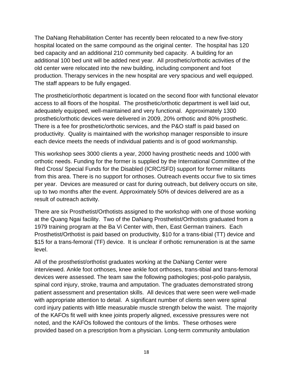The DaNang Rehabilitation Center has recently been relocated to a new five-story hospital located on the same compound as the original center. The hospital has 120 bed capacity and an additional 210 community bed capacity. A building for an additional 100 bed unit will be added next year. All prosthetic/orthotic activities of the old center were relocated into the new building, including component and foot production. Therapy services in the new hospital are very spacious and well equipped. The staff appears to be fully engaged.

The prosthetic/orthotic department is located on the second floor with functional elevator access to all floors of the hospital. The prosthetic/orthotic department is well laid out, adequately equipped, well-maintained and very functional. Approximately 1300 prosthetic/orthotic devices were delivered in 2009, 20% orthotic and 80% prosthetic. There is a fee for prosthetic/orthotic services, and the P&O staff is paid based on productivity. Quality is maintained with the workshop manager responsible to insure each device meets the needs of individual patients and is of good workmanship.

This workshop sees 3000 clients a year, 2000 having prosthetic needs and 1000 with orthotic needs. Funding for the former is supplied by the International Committee of the Red Cross/ Special Funds for the Disabled (ICRC/SFD) support for former militants from this area. There is no support for orthoses. Outreach events occur five to six times per year. Devices are measured or cast for during outreach, but delivery occurs on site, up to two months after the event. Approximately 50% of devices delivered are as a result of outreach activity.

There are six Prosthetist/Orthotists assigned to the workshop with one of those working at the Quang Ngai facility. Two of the DaNang Prosthetist/Orthotists graduated from a 1979 training program at the Ba Vi Center with, then, East German trainers. Each Prosthetist/Orthotist is paid based on productivity, \$10 for a trans-tibial (TT) device and \$15 for a trans-femoral (TF) device. It is unclear if orthotic remuneration is at the same level.

All of the prosthetist/orthotist graduates working at the DaNang Center were interviewed. Ankle foot orthoses, knee ankle foot orthoses, trans-tibial and trans-femoral devices were assessed. The team saw the following pathologies; post-polio paralysis, spinal cord injury, stroke, trauma and amputation. The graduates demonstrated strong patient assessment and presentation skills. All devices that were seen were well-made with appropriate attention to detail. A significant number of clients seen were spinal cord injury patients with little measurable muscle strength below the waist. The majority of the KAFOs fit well with knee joints properly aligned, excessive pressures were not noted, and the KAFOs followed the contours of the limbs. These orthoses were provided based on a prescription from a physician. Long-term community ambulation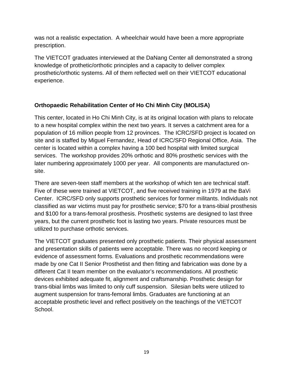was not a realistic expectation. A wheelchair would have been a more appropriate prescription.

The VIETCOT graduates interviewed at the DaNang Center all demonstrated a strong knowledge of prothetic/orthotic principles and a capacity to deliver complex prosthetic/orthotic systems. All of them reflected well on their VIETCOT educational experience.

# **Orthopaedic Rehabilitation Center of Ho Chi Minh City (MOLISA)**

This center, located in Ho Chi Minh City, is at its original location with plans to relocate to a new hospital complex within the next two years. It serves a catchment area for a population of 16 million people from 12 provinces. The ICRC/SFD project is located on site and is staffed by Miguel Fernandez, Head of ICRC/SFD Regional Office, Asia. The center is located within a complex having a 100 bed hospital with limited surgical services. The workshop provides 20% orthotic and 80% prosthetic services with the later numbering approximately 1000 per year. All components are manufactured onsite.

There are seven-teen staff members at the workshop of which ten are technical staff. Five of these were trained at VIETCOT, and five received training in 1979 at the BaVi Center. ICRC/SFD only supports prosthetic services for former militants. Individuals not classified as war victims must pay for prosthetic service; \$70 for a trans-tibial prosthesis and \$100 for a trans-femoral prosthesis. Prosthetic systems are designed to last three years, but the current prosthetic foot is lasting two years. Private resources must be utilized to purchase orthotic services.

The VIETCOT graduates presented only prosthetic patients. Their physical assessment and presentation skills of patients were acceptable. There was no record keeping or evidence of assessment forms. Evaluations and prosthetic recommendations were made by one Cat II Senior Prosthetist and then fitting and fabrication was done by a different Cat II team member on the evaluator's recommendations. All prosthetic devices exhibited adequate fit, alignment and craftsmanship. Prosthetic design for trans-tibial limbs was limited to only cuff suspension. Silesian belts were utilized to augment suspension for trans-femoral limbs. Graduates are functioning at an acceptable prosthetic level and reflect positively on the teachings of the VIETCOT School.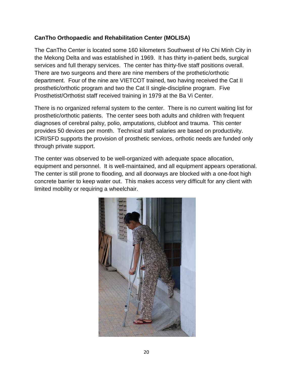#### **CanTho Orthopaedic and Rehabilitation Center (MOLISA)**

The CanTho Center is located some 160 kilometers Southwest of Ho Chi Minh City in the Mekong Delta and was established in 1969. It has thirty in-patient beds, surgical services and full therapy services. The center has thirty-five staff positions overall. There are two surgeons and there are nine members of the prothetic/orthotic department. Four of the nine are VIETCOT trained, two having received the Cat II prosthetic/orthotic program and two the Cat II single-discipline program. Five Prosthetist/Orthotist staff received training in 1979 at the Ba Vi Center.

There is no organized referral system to the center. There is no current waiting list for prosthetic/orthotic patients. The center sees both adults and children with frequent diagnoses of cerebral palsy, polio, amputations, clubfoot and trauma. This center provides 50 devices per month. Technical staff salaries are based on productivity. ICRI/SFD supports the provision of prosthetic services, orthotic needs are funded only through private support.

The center was observed to be well-organized with adequate space allocation, equipment and personnel. It is well-maintained, and all equipment appears operational. The center is still prone to flooding, and all doorways are blocked with a one-foot high concrete barrier to keep water out. This makes access very difficult for any client with limited mobility or requiring a wheelchair.

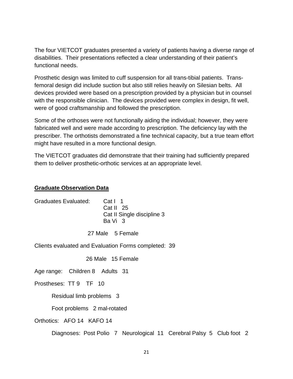The four VIETCOT graduates presented a variety of patients having a diverse range of disabilities. Their presentations reflected a clear understanding of their patient's functional needs.

Prosthetic design was limited to cuff suspension for all trans-tibial patients. Transfemoral design did include suction but also still relies heavily on Silesian belts. All devices provided were based on a prescription provided by a physician but in counsel with the responsible clinician. The devices provided were complex in design, fit well, were of good craftsmanship and followed the prescription.

Some of the orthoses were not functionally aiding the individual; however, they were fabricated well and were made according to prescription. The deficiency lay with the prescriber. The orthotists demonstrated a fine technical capacity, but a true team effort might have resulted in a more functional design.

The VIETCOT graduates did demonstrate that their training had sufficiently prepared them to deliver prosthetic-orthotic services at an appropriate level.

#### **Graduate Observation Data**

| Graduates Evaluated: | Cat I 1<br>Cat II $25$<br>Cat II Single discipline 3<br>Ba Vi 3 |
|----------------------|-----------------------------------------------------------------|
|                      |                                                                 |

27 Male 5 Female

Clients evaluated and Evaluation Forms completed: 39

26 Male 15 Female

Age range: Children 8 Adults 31

Prostheses: TT 9 TF 10

Residual limb problems 3

Foot problems 2 mal-rotated

Orthotics: AFO 14 KAFO 14

Diagnoses: Post Polio 7 Neurological 11 Cerebral Palsy 5 Club foot 2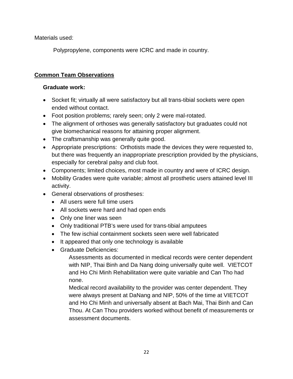Materials used:

Polypropylene, components were ICRC and made in country.

# **Common Team Observations**

#### **Graduate work:**

- Socket fit; virtually all were satisfactory but all trans-tibial sockets were open ended without contact.
- Foot position problems; rarely seen; only 2 were mal-rotated.
- The alignment of orthoses was generally satisfactory but graduates could not give biomechanical reasons for attaining proper alignment.
- The craftsmanship was generally quite good.
- Appropriate prescriptions: Orthotists made the devices they were requested to, but there was frequently an inappropriate prescription provided by the physicians, especially for cerebral palsy and club foot.
- Components; limited choices, most made in country and were of ICRC design.
- Mobility Grades were quite variable; almost all prosthetic users attained level III activity.
- General observations of prostheses:
	- All users were full time users
	- All sockets were hard and had open ends
	- Only one liner was seen
	- Only traditional PTB's were used for trans-tibial amputees
	- The few ischial containment sockets seen were well fabricated
	- It appeared that only one technology is available
	- Graduate Deficiencies:

Assessments as documented in medical records were center dependent with NIP, Thai Binh and Da Nang doing universally quite well. VIETCOT and Ho Chi Minh Rehabilitation were quite variable and Can Tho had none.

Medical record availability to the provider was center dependent. They were always present at DaNang and NIP, 50% of the time at VIETCOT and Ho Chi Minh and universally absent at Bach Mai, Thai Binh and Can Thou. At Can Thou providers worked without benefit of measurements or assessment documents.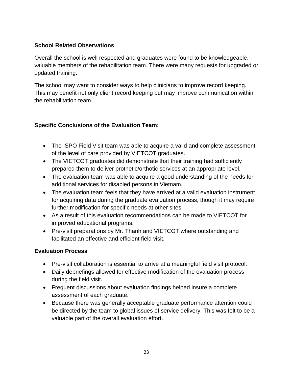# **School Related Observations**

Overall the school is well respected and graduates were found to be knowledgeable, valuable members of the rehabilitation team. There were many requests for upgraded or updated training.

The school may want to consider ways to help clinicians to improve record keeping. This may benefit not only client record keeping but may improve communication within the rehabilitation team.

# **Specific Conclusions of the Evaluation Team:**

- The ISPO Field Visit team was able to acquire a valid and complete assessment of the level of care provided by VIETCOT graduates.
- The VIETCOT graduates did demonstrate that their training had sufficiently prepared them to deliver prothetic/orthotic services at an appropriate level.
- The evaluation team was able to acquire a good understanding of the needs for additional services for disabled persons in Vietnam.
- The evaluation team feels that they have arrived at a valid evaluation instrument for acquiring data during the graduate evaluation process, though it may require further modification for specific needs at other sites.
- As a result of this evaluation recommendations can be made to VIETCOT for improved educational programs.
- Pre-visit preparations by Mr. Thanh and VIETCOT where outstanding and facilitated an effective and efficient field visit.

# **Evaluation Process**

- Pre-visit collaboration is essential to arrive at a meaningful field visit protocol.
- Daily debriefings allowed for effective modification of the evaluation process during the field visit.
- Frequent discussions about evaluation findings helped insure a complete assessment of each graduate.
- Because there was generally acceptable graduate performance attention could be directed by the team to global issues of service delivery. This was felt to be a valuable part of the overall evaluation effort.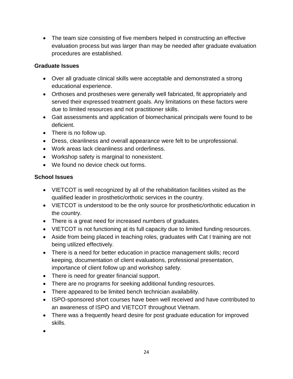• The team size consisting of five members helped in constructing an effective evaluation process but was larger than may be needed after graduate evaluation procedures are established.

#### **Graduate Issues**

- Over all graduate clinical skills were acceptable and demonstrated a strong educational experience.
- Orthoses and prostheses were generally well fabricated, fit appropriately and served their expressed treatment goals. Any limitations on these factors were due to limited resources and not practitioner skills.
- Gait assessments and application of biomechanical principals were found to be deficient.
- There is no follow up.
- Dress, cleanliness and overall appearance were felt to be unprofessional.
- Work areas lack cleanliness and orderliness.
- Workshop safety is marginal to nonexistent.
- We found no device check out forms.

# **School Issues**

- VIETCOT is well recognized by all of the rehabilitation facilities visited as the qualified leader in prosthetic/orthotic services in the country.
- VIETCOT is understood to be the only source for prosthetic/orthotic education in the country.
- There is a great need for increased numbers of graduates.
- VIETCOT is not functioning at its full capacity due to limited funding resources.
- Aside from being placed in teaching roles, graduates with Cat I training are not being utilized effectively.
- There is a need for better education in practice management skills; record keeping, documentation of client evaluations, professional presentation, importance of client follow up and workshop safety.
- There is need for greater financial support.
- There are no programs for seeking additional funding resources.
- There appeared to be limited bench technician availability.
- ISPO-sponsored short courses have been well received and have contributed to an awareness of ISPO and VIETCOT throughout Vietnam.
- There was a frequently heard desire for post graduate education for improved skills.
- •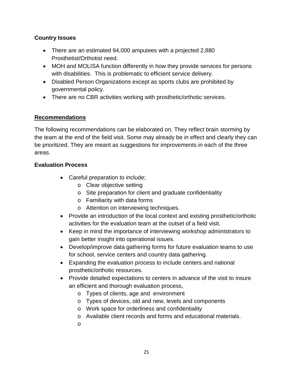## **Country Issues**

- There are an estimated 94,000 amputees with a projected 2,880 Prosthetist/Orthotist need.
- MOH and MOLISA function differently in how they provide services for persons with disabilities. This is problematic to efficient service delivery.
- Disabled Person Organizations except as sports clubs are prohibited by governmental policy.
- There are no CBR activities working with prosthetic/orthotic services.

#### **Recommendations**

The following recommendations can be elaborated on. They reflect brain storming by the team at the end of the field visit. Some may already be in effect and clearly they can be prioritized. They are meant as suggestions for improvements in each of the three areas.

#### **Evaluation Process**

- Careful preparation to include;
	- o Clear objective setting
	- o Site preparation for client and graduate confidentiality
	- o Familiarity with data forms
	- o Attention on interviewing techniques.
- Provide an introduction of the local context and existing prosthetic/orthotic activities for the evaluation team at the outset of a field visit.
- Keep in mind the importance of interviewing workshop administrators to gain better insight into operational issues.
- Develop/improve data gathering forms for future evaluation teams to use for school, service centers and country data gathering.
- Expanding the evaluation process to include centers and national prosthetic/orthotic resources.
- Provide detailed expectations to centers in advance of the visit to insure an efficient and thorough evaluation process,
	- o Types of clients, age and environment
	- o Types of devices, old and new, levels and components
	- o Work space for orderliness and confidentiality
	- o Available client records and forms and educational materials.
	- o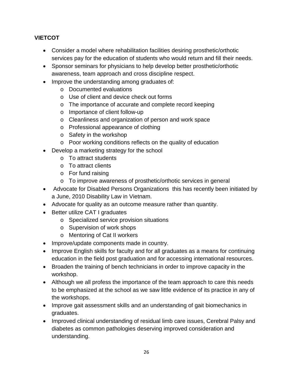# **VIETCOT**

- Consider a model where rehabilitation facilities desiring prosthetic/orthotic services pay for the education of students who would return and fill their needs.
- Sponsor seminars for physicians to help develop better prosthetic/orthotic awareness, team approach and cross discipline respect.
- Improve the understanding among graduates of:
	- o Documented evaluations
	- o Use of client and device check out forms
	- o The importance of accurate and complete record keeping
	- o Importance of client follow-up
	- o Cleanliness and organization of person and work space
	- o Professional appearance of clothing
	- o Safety in the workshop
	- o Poor working conditions reflects on the quality of education
- Develop a marketing strategy for the school
	- o To attract students
	- o To attract clients
	- o For fund raising
	- o To improve awareness of prosthetic/orthotic services in general
- Advocate for Disabled Persons Organizations this has recently been initiated by a June, 2010 Disability Law in Vietnam.
- Advocate for quality as an outcome measure rather than quantity.
- Better utilize CAT I graduates
	- o Specialized service provision situations
	- o Supervision of work shops
	- o Mentoring of Cat II workers
- Improve/update components made in country.
- Improve English skills for faculty and for all graduates as a means for continuing education in the field post graduation and for accessing international resources.
- Broaden the training of bench technicians in order to improve capacity in the workshop.
- Although we all profess the importance of the team approach to care this needs to be emphasized at the school as we saw little evidence of its practice in any of the workshops.
- Improve gait assessment skills and an understanding of gait biomechanics in graduates.
- Improved clinical understanding of residual limb care issues, Cerebral Palsy and diabetes as common pathologies deserving improved consideration and understanding.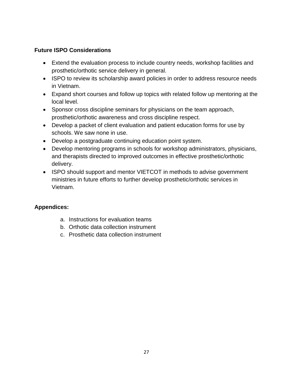#### **Future ISPO Considerations**

- Extend the evaluation process to include country needs, workshop facilities and prosthetic/orthotic service delivery in general.
- ISPO to review its scholarship award policies in order to address resource needs in Vietnam.
- Expand short courses and follow up topics with related follow up mentoring at the local level.
- Sponsor cross discipline seminars for physicians on the team approach, prosthetic/orthotic awareness and cross discipline respect.
- Develop a packet of client evaluation and patient education forms for use by schools. We saw none in use.
- Develop a postgraduate continuing education point system.
- Develop mentoring programs in schools for workshop administrators, physicians, and therapists directed to improved outcomes in effective prosthetic/orthotic delivery.
- ISPO should support and mentor VIETCOT in methods to advise government ministries in future efforts to further develop prosthetic/orthotic services in Vietnam.

# **Appendices:**

- a. Instructions for evaluation teams
- b. Orthotic data collection instrument
- c. Prosthetic data collection instrument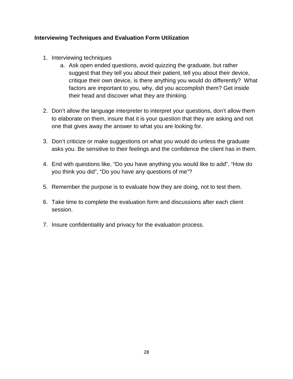#### **Interviewing Techniques and Evaluation Form Utilization**

- 1. Interviewing techniques
	- a. Ask open ended questions, avoid quizzing the graduate, but rather suggest that they tell you about their patient, tell you about their device, critique their own device, is there anything you would do differently? What factors are important to you, why, did you accomplish them? Get inside their head and discover what they are thinking.
- 2. Don't allow the language interpreter to interpret your questions, don't allow them to elaborate on them, insure that it is your question that they are asking and not one that gives away the answer to what you are looking for.
- 3. Don't criticize or make suggestions on what you would do unless the graduate asks you. Be sensitive to their feelings and the confidence the client has in them.
- 4. End with questions like, "Do you have anything you would like to add", "How do you think you did", "Do you have any questions of me"?
- 5. Remember the purpose is to evaluate how they are doing, not to test them.
- 6. Take time to complete the evaluation form and discussions after each client session.
- 7. Insure confidentiality and privacy for the evaluation process.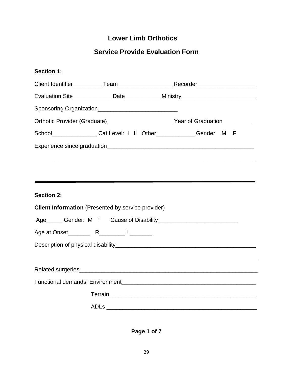# **Lower Limb Orthotics**

# **Service Provide Evaluation Form**

| <b>Section 1:</b> |                                                           |                                                                                                                         |
|-------------------|-----------------------------------------------------------|-------------------------------------------------------------------------------------------------------------------------|
|                   |                                                           |                                                                                                                         |
|                   |                                                           | Evaluation Site________________ Date_____________ Ministry______________________                                        |
|                   |                                                           |                                                                                                                         |
|                   |                                                           | Orthotic Provider (Graduate) ___________________________Year of Graduation__________                                    |
|                   |                                                           | School_________________Cat Level: I II Other_____________Gender M F                                                     |
|                   |                                                           |                                                                                                                         |
|                   |                                                           |                                                                                                                         |
| <b>Section 2:</b> | <b>Client Information</b> (Presented by service provider) |                                                                                                                         |
|                   |                                                           |                                                                                                                         |
|                   |                                                           |                                                                                                                         |
|                   |                                                           |                                                                                                                         |
|                   |                                                           |                                                                                                                         |
|                   |                                                           |                                                                                                                         |
|                   |                                                           |                                                                                                                         |
|                   |                                                           | Terrain <b>No.</b> 2008. 2014. 2015. 2016. 2017. 2018. 2019. 2019. 2019. 2019. 2019. 2019. 2019. 2019. 2019. 2019. 2019 |
|                   |                                                           |                                                                                                                         |

**Page 1 of 7**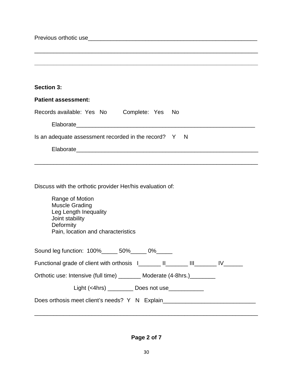Previous orthotic use example of the state of the state of the state of the state of the state of the state of the state of the state of the state of the state of the state of the state of the state of the state of the sta \_\_\_\_\_\_\_\_\_\_\_\_\_\_\_\_\_\_\_\_\_\_\_\_\_\_\_\_\_\_\_\_\_\_\_\_\_\_\_\_\_\_\_\_\_\_\_\_\_\_\_\_\_\_\_\_\_\_\_\_\_\_\_\_\_\_\_\_\_\_ **\_\_\_\_\_\_\_\_\_\_\_\_\_\_\_\_\_\_\_\_\_\_\_\_\_\_\_\_\_\_\_\_\_\_\_\_\_\_\_\_\_\_\_\_\_\_\_\_\_\_\_\_\_\_\_\_\_\_\_\_\_\_\_\_\_\_\_\_\_\_ Section 3: Patient assessment:**  Records available: Yes No Complete: Yes No Elaborate Is an adequate assessment recorded in the record?  $Y \cdot N$ Elaborate established and the set of the set of the set of the set of the set of the set of the set of the set of the set of the set of the set of the set of the set of the set of the set of the set of the set of the set o \_\_\_\_\_\_\_\_\_\_\_\_\_\_\_\_\_\_\_\_\_\_\_\_\_\_\_\_\_\_\_\_\_\_\_\_\_\_\_\_\_\_\_\_\_\_\_\_\_\_\_\_\_\_\_\_\_\_\_\_\_\_\_\_\_\_\_\_\_\_ Discuss with the orthotic provider Her/his evaluation of: Range of Motion Muscle Grading Leg Length Inequality Joint stability **Deformity** Pain, location and characteristics Sound leg function:  $100\%$  \_\_\_\_\_\_ 50% \_\_\_\_\_ 0% \_\_\_\_\_ Functional grade of client with orthosis  $I_$  [I\_\_\_\_\_\_\_ III\_\_\_\_\_\_ IV\_\_\_\_\_ Orthotic use: Intensive (full time) \_\_\_\_\_\_\_\_ Moderate (4-8hrs.)\_\_\_\_\_\_\_\_

Light (<4hrs) \_\_\_\_\_\_\_\_\_\_ Does not use\_\_\_\_\_\_\_\_\_\_\_\_\_

Does orthosis meet client's needs? Y N Explain\_\_\_\_\_\_\_\_\_\_\_\_\_\_\_\_\_\_\_\_\_\_\_\_\_\_\_\_\_\_\_\_\_\_

**Page 2 of 7**

\_\_\_\_\_\_\_\_\_\_\_\_\_\_\_\_\_\_\_\_\_\_\_\_\_\_\_\_\_\_\_\_\_\_\_\_\_\_\_\_\_\_\_\_\_\_\_\_\_\_\_\_\_\_\_\_\_\_\_\_\_\_\_\_\_\_\_\_\_\_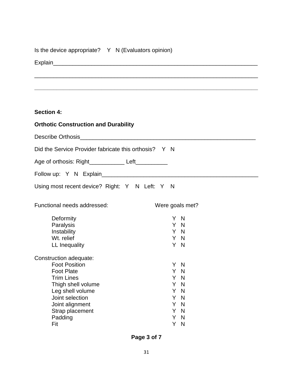| Is the device appropriate? Y N (Evaluators opinion) |  |
|-----------------------------------------------------|--|
|-----------------------------------------------------|--|

Explain\_\_\_\_\_\_\_\_\_\_\_\_\_\_\_\_\_\_\_\_\_\_\_\_\_\_\_\_\_\_\_\_\_\_\_\_\_\_\_\_\_\_\_\_\_\_\_\_\_\_\_\_\_\_\_\_\_\_\_\_\_\_\_\_

# **Section 4:**

| <b>Orthotic Construction and Durability</b>           |                    |  |  |
|-------------------------------------------------------|--------------------|--|--|
|                                                       |                    |  |  |
| Did the Service Provider fabricate this orthosis? Y N |                    |  |  |
| Age of orthosis: Right ____________ Left__________    |                    |  |  |
|                                                       |                    |  |  |
| Using most recent device? Right: Y N Left: Y N        |                    |  |  |
| Functional needs addressed:                           | Were goals met?    |  |  |
| Deformity                                             | Y N                |  |  |
| Paralysis                                             | Y N                |  |  |
| Instability                                           | Y N                |  |  |
| Wt. relief                                            | Y N                |  |  |
| LL Inequality                                         | Y N                |  |  |
| Construction adequate:                                |                    |  |  |
| <b>Foot Position</b>                                  | Y N                |  |  |
| <b>Foot Plate</b>                                     | Y.<br>N            |  |  |
| <b>Trim Lines</b>                                     | Y N                |  |  |
| Thigh shell volume                                    | Y N                |  |  |
| Leg shell volume                                      | Y N                |  |  |
| Joint selection                                       | N<br>Y.            |  |  |
| Joint alignment                                       | Y.<br>N            |  |  |
| Strap placement<br>Padding                            | Y.<br>N<br>N<br>Y. |  |  |
| Fit                                                   | Y<br>N             |  |  |

\_\_\_\_\_\_\_\_\_\_\_\_\_\_\_\_\_\_\_\_\_\_\_\_\_\_\_\_\_\_\_\_\_\_\_\_\_\_\_\_\_\_\_\_\_\_\_\_\_\_\_\_\_\_\_\_\_\_\_\_\_\_\_\_\_\_\_\_\_\_

**\_\_\_\_\_\_\_\_\_\_\_\_\_\_\_\_\_\_\_\_\_\_\_\_\_\_\_\_\_\_\_\_\_\_\_\_\_\_\_\_\_\_\_\_\_\_\_\_\_\_\_\_\_\_\_\_\_\_\_\_\_\_\_\_\_\_\_\_\_\_**

**Page 3 of 7**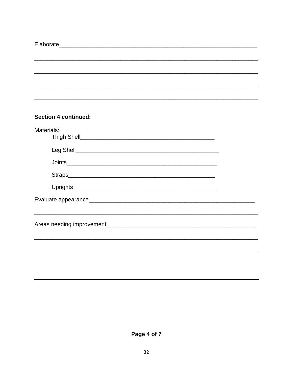| <b>Section 4 continued:</b> |  |
|-----------------------------|--|
| Materials:                  |  |
|                             |  |
|                             |  |
|                             |  |
|                             |  |
|                             |  |
|                             |  |
|                             |  |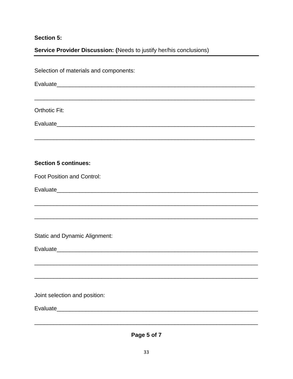# **Section 5:**

# Service Provider Discussion: (Needs to justify her/his conclusions)

| Selection of materials and components:                                                                                |  |  |
|-----------------------------------------------------------------------------------------------------------------------|--|--|
|                                                                                                                       |  |  |
| <b>Orthotic Fit:</b>                                                                                                  |  |  |
|                                                                                                                       |  |  |
|                                                                                                                       |  |  |
| <b>Section 5 continues:</b>                                                                                           |  |  |
| <b>Foot Position and Control:</b>                                                                                     |  |  |
|                                                                                                                       |  |  |
| <u> 1989 - Johann Barn, amerikan berkema dalam berkema dalam berkema dalam berkema dalam berkema dalam berkema da</u> |  |  |
| <b>Static and Dynamic Alignment:</b>                                                                                  |  |  |
|                                                                                                                       |  |  |
|                                                                                                                       |  |  |
| Joint selection and position:                                                                                         |  |  |
|                                                                                                                       |  |  |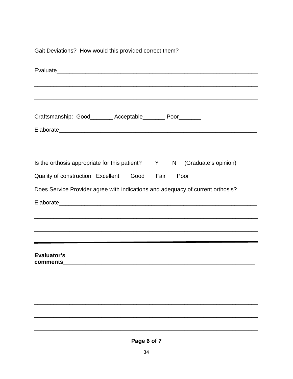Gait Deviations? How would this provided correct them?

| Craftsmanship: Good________ Acceptable________ Poor_______                                                                                                                                              |  |                                                                                                                                                                                                         |
|---------------------------------------------------------------------------------------------------------------------------------------------------------------------------------------------------------|--|---------------------------------------------------------------------------------------------------------------------------------------------------------------------------------------------------------|
| Is the orthosis appropriate for this patient? Y N (Graduate's opinion)<br>Quality of construction Excellent___ Good___ Fair___ Poor____                                                                 |  | ,我们也不能在这里的人,我们也不能在这里的人,我们也不能在这里的人,我们也不能在这里的人,我们也不能在这里的人,我们也不能在这里的人,我们也不能在这里的人,我们也                                                                                                                       |
| Does Service Provider agree with indications and adequacy of current orthosis?<br><u> 1989 - Johann Harry Harry Harry Harry Harry Harry Harry Harry Harry Harry Harry Harry Harry Harry Harry Harry</u> |  |                                                                                                                                                                                                         |
| Evaluator's                                                                                                                                                                                             |  | ,我们也不能在这里的时候,我们也不能在这里的时候,我们也不能在这里的时候,我们也不能会在这里的时候,我们也不能会在这里的时候,我们也不能会在这里的时候,我们也不<br>and the contract of the contract of the contract of the contract of the contract of the contract of the contract of |
|                                                                                                                                                                                                         |  |                                                                                                                                                                                                         |
|                                                                                                                                                                                                         |  |                                                                                                                                                                                                         |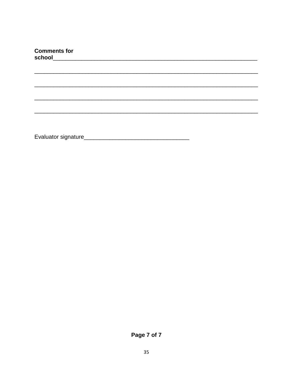| <b>Comments for</b> | school and the contract of the contract of the contract of the contract of the contract of the contract of the |  |  |  |
|---------------------|----------------------------------------------------------------------------------------------------------------|--|--|--|
|                     |                                                                                                                |  |  |  |
|                     |                                                                                                                |  |  |  |
|                     |                                                                                                                |  |  |  |
|                     |                                                                                                                |  |  |  |
|                     |                                                                                                                |  |  |  |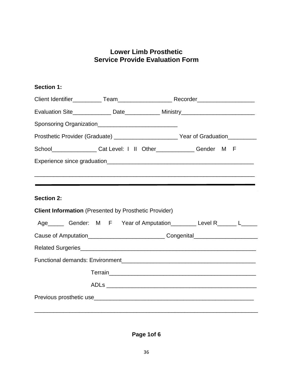# **Lower Limb Prosthetic Service Provide Evaluation Form**

# **Section 1:**

|                                                              |                                                                       | Evaluation Site________________ Date______________ Ministry_____________________                                        |  |
|--------------------------------------------------------------|-----------------------------------------------------------------------|-------------------------------------------------------------------------------------------------------------------------|--|
| Sponsoring Organization______________________________        |                                                                       |                                                                                                                         |  |
|                                                              |                                                                       |                                                                                                                         |  |
|                                                              | School__________________Cat Level: I II Other______________Gender M F |                                                                                                                         |  |
|                                                              |                                                                       |                                                                                                                         |  |
|                                                              |                                                                       |                                                                                                                         |  |
|                                                              |                                                                       |                                                                                                                         |  |
| <b>Section 2:</b>                                            |                                                                       |                                                                                                                         |  |
| <b>Client Information</b> (Presented by Prosthetic Provider) |                                                                       |                                                                                                                         |  |
|                                                              |                                                                       | Age_______ Gender: M F Year of Amputation__________ Level R_______ L______                                              |  |
|                                                              |                                                                       | Cause of Amputation______________________________Congenital_____________________                                        |  |
|                                                              |                                                                       |                                                                                                                         |  |
|                                                              |                                                                       |                                                                                                                         |  |
|                                                              |                                                                       | Terrain <b>No.</b> 2008. 2014. 2015. 2016. 2017. 2018. 2019. 2019. 2019. 2019. 2019. 2019. 2019. 2019. 2019. 2019. 2019 |  |
|                                                              |                                                                       |                                                                                                                         |  |
|                                                              |                                                                       |                                                                                                                         |  |
|                                                              |                                                                       |                                                                                                                         |  |

**Page 1of 6**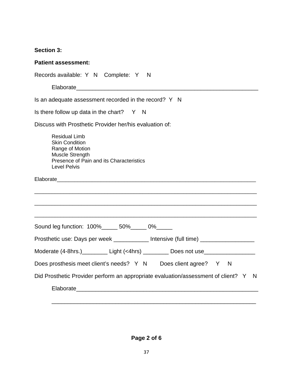# **Section 3:**

| <b>Patient assessment:</b>                                                                                                                                                                                                     |
|--------------------------------------------------------------------------------------------------------------------------------------------------------------------------------------------------------------------------------|
| Records available: Y N Complete: Y N                                                                                                                                                                                           |
|                                                                                                                                                                                                                                |
| Is an adequate assessment recorded in the record? Y N                                                                                                                                                                          |
| Is there follow up data in the chart? $Y \cap N$                                                                                                                                                                               |
| Discuss with Prosthetic Provider her/his evaluation of:                                                                                                                                                                        |
| <b>Residual Limb</b><br><b>Skin Condition</b><br>Range of Motion<br>Muscle Strength<br>Presence of Pain and its Characteristics<br><b>Level Pelvis</b>                                                                         |
| Elaborate experience and the state of the state of the state of the state of the state of the state of the state of the state of the state of the state of the state of the state of the state of the state of the state of th |
| Sound leg function: 100%______ 50%______ 0%______<br>Prosthetic use: Days per week ____________ Intensive (full time) _______________                                                                                          |
|                                                                                                                                                                                                                                |
| Moderate (4-8hrs.) Light (<4hrs) _________ Does not use_________________________                                                                                                                                               |
| Does prosthesis meet client's needs? Y N Does client agree? Y N<br>Did Prosthetic Provider perform an appropriate evaluation/assessment of client? Y N                                                                         |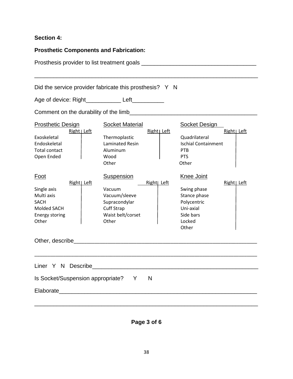# **Section 4:**

| <b>Prosthetic Components and Fabrication:</b><br>Did the service provider fabricate this prosthesis? Y N                 |                                                                                                           |              |                                                                                                              |              |  |                                                 |  |  |  |  |
|--------------------------------------------------------------------------------------------------------------------------|-----------------------------------------------------------------------------------------------------------|--------------|--------------------------------------------------------------------------------------------------------------|--------------|--|-------------------------------------------------|--|--|--|--|
|                                                                                                                          |                                                                                                           |              |                                                                                                              |              |  | Age of device: Right____________ Left__________ |  |  |  |  |
|                                                                                                                          |                                                                                                           |              |                                                                                                              |              |  |                                                 |  |  |  |  |
| <b>Prosthetic Design</b><br>Right   Left<br>Exoskeletal                                                                  | <b>Socket Material</b><br>Thermoplastic                                                                   | Right   Left | <b>Socket Design</b><br>Quadrilateral                                                                        | Right Left   |  |                                                 |  |  |  |  |
| Endoskeletal<br><b>Total contact</b><br>Open Ended                                                                       | <b>Laminated Resin</b><br>Aluminum<br>Wood<br>Other                                                       |              | <b>Ischial Containment</b><br><b>PTB</b><br><b>PTS</b><br>Other                                              |              |  |                                                 |  |  |  |  |
| <u>Foot</u><br>Right   Left<br>Single axis<br>Multi axis<br><b>SACH</b><br>Molded SACH<br><b>Energy storing</b><br>Other | <b>Suspension</b><br>Vacuum<br>Vacuum/sleeve<br>Supracondylar<br>Cuff Strap<br>Waist belt/corset<br>Other | Right  Left  | <b>Knee Joint</b><br>Swing phase<br>Stance phase<br>Polycentric<br>Uni-axial<br>Side bars<br>Locked<br>Other | Right   Left |  |                                                 |  |  |  |  |
| Other, describe                                                                                                          |                                                                                                           |              |                                                                                                              |              |  |                                                 |  |  |  |  |
| Is Socket/Suspension appropriate? Y                                                                                      |                                                                                                           | N            |                                                                                                              |              |  |                                                 |  |  |  |  |

**Page 3 of 6**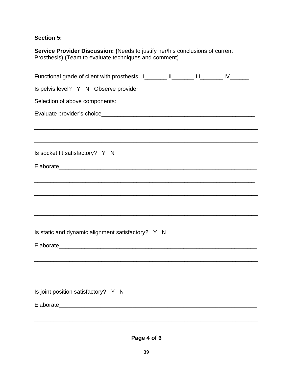# **Section 5:**

| <b>Service Provider Discussion: (Needs to justify her/his conclusions of current</b><br>Prosthesis) (Team to evaluate techniques and comment) |  |  |  |  |
|-----------------------------------------------------------------------------------------------------------------------------------------------|--|--|--|--|
| Functional grade of client with prosthesis I________ II________ III________ IV_______                                                         |  |  |  |  |
| Is pelvis level? Y N Observe provider                                                                                                         |  |  |  |  |
| Selection of above components:                                                                                                                |  |  |  |  |
|                                                                                                                                               |  |  |  |  |
| <u> 1989 - Andrea Santa Alemania, amerikana amerikana amerikana amerikana amerikana amerikana amerikana amerikan</u>                          |  |  |  |  |
| Is socket fit satisfactory? Y N                                                                                                               |  |  |  |  |
|                                                                                                                                               |  |  |  |  |
|                                                                                                                                               |  |  |  |  |
|                                                                                                                                               |  |  |  |  |
|                                                                                                                                               |  |  |  |  |
| Is static and dynamic alignment satisfactory? Y N                                                                                             |  |  |  |  |
|                                                                                                                                               |  |  |  |  |
|                                                                                                                                               |  |  |  |  |
|                                                                                                                                               |  |  |  |  |
| Is joint position satisfactory? Y N                                                                                                           |  |  |  |  |
| Elaborate<br><u> 1980 - Jan Barbara (j. 1980)</u>                                                                                             |  |  |  |  |
|                                                                                                                                               |  |  |  |  |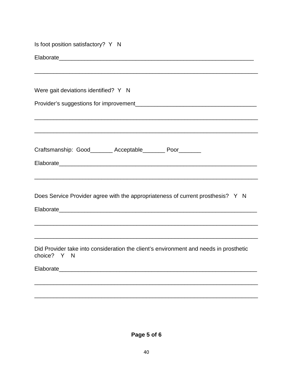| Is foot position satisfactory? Y N                                                                                    |
|-----------------------------------------------------------------------------------------------------------------------|
|                                                                                                                       |
|                                                                                                                       |
| Were gait deviations identified? Y N                                                                                  |
|                                                                                                                       |
|                                                                                                                       |
| Craftsmanship: Good________ Acceptable________ Poor_______                                                            |
|                                                                                                                       |
|                                                                                                                       |
|                                                                                                                       |
| Does Service Provider agree with the appropriateness of current prosthesis? Y N                                       |
|                                                                                                                       |
| <u> 1989 - Johann John Stoff, deutscher Stoffen und der Stoffen und der Stoffen und der Stoffen und der Stoffen u</u> |
|                                                                                                                       |
| Did Provider take into consideration the client's environment and needs in prosthetic<br>choice? Y N                  |
|                                                                                                                       |
|                                                                                                                       |
|                                                                                                                       |

Page 5 of 6